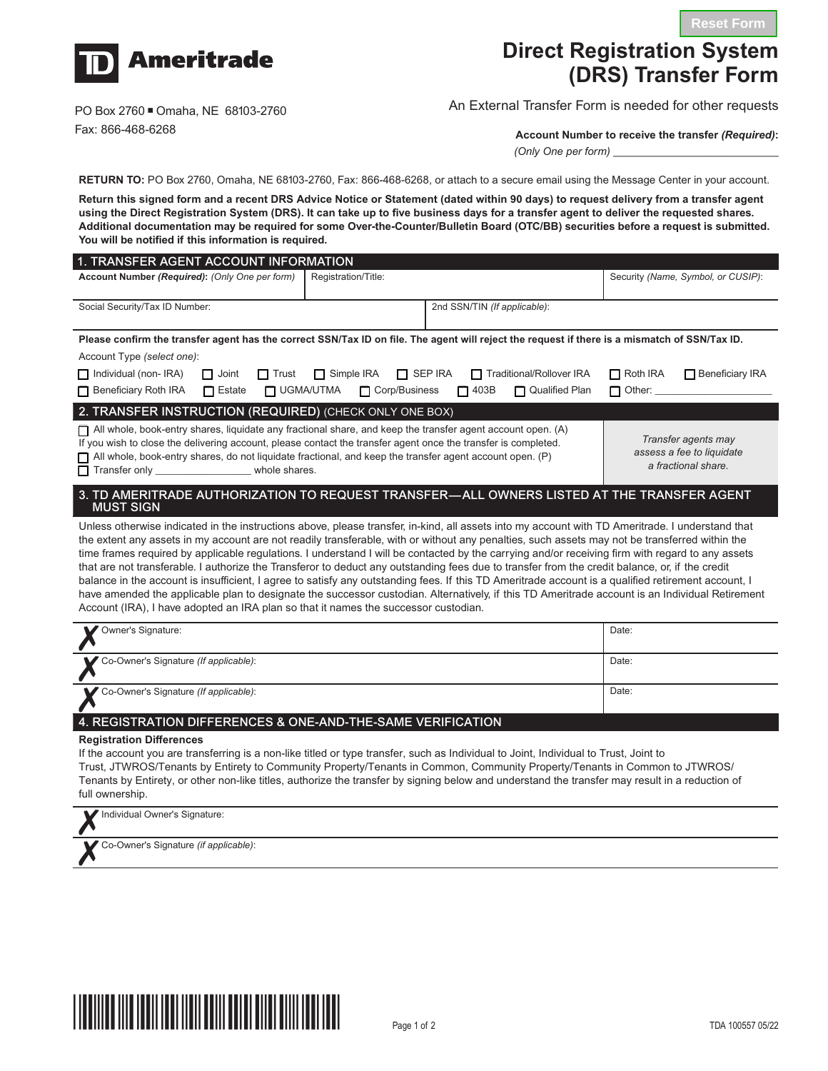

# **Direct Registration System (DRS) Transfer Form**

PO Box 2760 Omaha, NE 68103-2760 Fax: 866-468-6268

## An External Transfer Form is needed for other requests

**Account Number to receive the transfer** *(Required)***:**

*(Only One per form)* \_\_\_\_\_\_\_\_\_\_\_\_\_\_\_\_\_\_\_\_\_\_

**RETURN TO:** PO Box 2760, Omaha, NE 68103-2760, Fax: 866-468-6268, or attach to a secure email using the Message Center in your account.

**Return this signed form and a recent DRS Advice Notice or Statement (dated within 90 days) to request delivery from a transfer agent using the Direct Registration System (DRS). It can take up to five business days for a transfer agent to deliver the requested shares. Additional documentation may be required for some Over-the-Counter/Bulletin Board (OTC/BB) securities before a request is submitted. You will be notified if this information is required.**

| 1. TRANSFER AGENT ACCOUNT INFORMATION                                                                                                                                                                                                                                                                                                                                                                                                                                                                                                                                                                                                                                                                                                                                                                                                                                                                                                                                                                      |                                     |                               |                                                                         |  |
|------------------------------------------------------------------------------------------------------------------------------------------------------------------------------------------------------------------------------------------------------------------------------------------------------------------------------------------------------------------------------------------------------------------------------------------------------------------------------------------------------------------------------------------------------------------------------------------------------------------------------------------------------------------------------------------------------------------------------------------------------------------------------------------------------------------------------------------------------------------------------------------------------------------------------------------------------------------------------------------------------------|-------------------------------------|-------------------------------|-------------------------------------------------------------------------|--|
| Account Number (Required): (Only One per form)                                                                                                                                                                                                                                                                                                                                                                                                                                                                                                                                                                                                                                                                                                                                                                                                                                                                                                                                                             | Registration/Title:                 |                               | Security (Name, Symbol, or CUSIP):                                      |  |
| Social Security/Tax ID Number:                                                                                                                                                                                                                                                                                                                                                                                                                                                                                                                                                                                                                                                                                                                                                                                                                                                                                                                                                                             |                                     | 2nd SSN/TIN (If applicable):  |                                                                         |  |
| Please confirm the transfer agent has the correct SSN/Tax ID on file. The agent will reject the request if there is a mismatch of SSN/Tax ID.                                                                                                                                                                                                                                                                                                                                                                                                                                                                                                                                                                                                                                                                                                                                                                                                                                                              |                                     |                               |                                                                         |  |
| Account Type (select one):                                                                                                                                                                                                                                                                                                                                                                                                                                                                                                                                                                                                                                                                                                                                                                                                                                                                                                                                                                                 |                                     |                               |                                                                         |  |
| $\Box$ Individual (non-IRA)<br>$\Box$ Joint<br>$\Box$ Trust                                                                                                                                                                                                                                                                                                                                                                                                                                                                                                                                                                                                                                                                                                                                                                                                                                                                                                                                                | $\Box$ Simple IRA<br>$\Box$ SEP IRA | Traditional/Rollover IRA      | $\Box$ Roth IRA<br>$\Box$ Beneficiary IRA                               |  |
| $\Box$ Beneficiary Roth IRA<br><b>N</b> UGMA/UTMA<br>$\Box$ Estate                                                                                                                                                                                                                                                                                                                                                                                                                                                                                                                                                                                                                                                                                                                                                                                                                                                                                                                                         | Corp/Business                       | $\Box$ 403B<br>Qualified Plan | Other:<br>П                                                             |  |
| 2. TRANSFER INSTRUCTION (REQUIRED) (CHECK ONLY ONE BOX)                                                                                                                                                                                                                                                                                                                                                                                                                                                                                                                                                                                                                                                                                                                                                                                                                                                                                                                                                    |                                     |                               |                                                                         |  |
| $\Box$ All whole, book-entry shares, liquidate any fractional share, and keep the transfer agent account open. (A)<br>If you wish to close the delivering account, please contact the transfer agent once the transfer is completed.<br>$\Box$ All whole, book-entry shares, do not liquidate fractional, and keep the transfer agent account open. (P)                                                                                                                                                                                                                                                                                                                                                                                                                                                                                                                                                                                                                                                    |                                     |                               | Transfer agents may<br>assess a fee to liquidate<br>a fractional share. |  |
| 3. TD AMERITRADE AUTHORIZATION TO REQUEST TRANSFER—ALL OWNERS LISTED AT THE TRANSFER AGENT<br><b>MUST SIGN</b>                                                                                                                                                                                                                                                                                                                                                                                                                                                                                                                                                                                                                                                                                                                                                                                                                                                                                             |                                     |                               |                                                                         |  |
| Unless otherwise indicated in the instructions above, please transfer, in-kind, all assets into my account with TD Ameritrade. I understand that<br>the extent any assets in my account are not readily transferable, with or without any penalties, such assets may not be transferred within the<br>time frames required by applicable regulations. I understand I will be contacted by the carrying and/or receiving firm with regard to any assets<br>that are not transferable. I authorize the Transferor to deduct any outstanding fees due to transfer from the credit balance, or, if the credit<br>balance in the account is insufficient, I agree to satisfy any outstanding fees. If this TD Ameritrade account is a qualified retirement account, I<br>have amended the applicable plan to designate the successor custodian. Alternatively, if this TD Ameritrade account is an Individual Retirement<br>Account (IRA), I have adopted an IRA plan so that it names the successor custodian. |                                     |                               |                                                                         |  |
| Owner's Signature:                                                                                                                                                                                                                                                                                                                                                                                                                                                                                                                                                                                                                                                                                                                                                                                                                                                                                                                                                                                         |                                     |                               | Date:                                                                   |  |
| Co-Owner's Signature (If applicable):                                                                                                                                                                                                                                                                                                                                                                                                                                                                                                                                                                                                                                                                                                                                                                                                                                                                                                                                                                      |                                     |                               | Date:                                                                   |  |
| Co-Owner's Signature (If applicable):                                                                                                                                                                                                                                                                                                                                                                                                                                                                                                                                                                                                                                                                                                                                                                                                                                                                                                                                                                      |                                     |                               | Date:                                                                   |  |

### 4. REGISTRATION DIFFERENCES & ONE-AND-THE-SAME VERIFICATION

#### **Registration Differences**

If the account you are transferring is a non-like titled or type transfer, such as Individual to Joint, Individual to Trust, Joint to Trust, JTWROS/Tenants by Entirety to Community Property/Tenants in Common, Community Property/Tenants in Common to JTWROS/ Tenants by Entirety, or other non-like titles, authorize the transfer by signing below and understand the transfer may result in a reduction of full ownership.

| Individual Owner's Signature:         |  |
|---------------------------------------|--|
| Co-Owner's Signature (if applicable): |  |